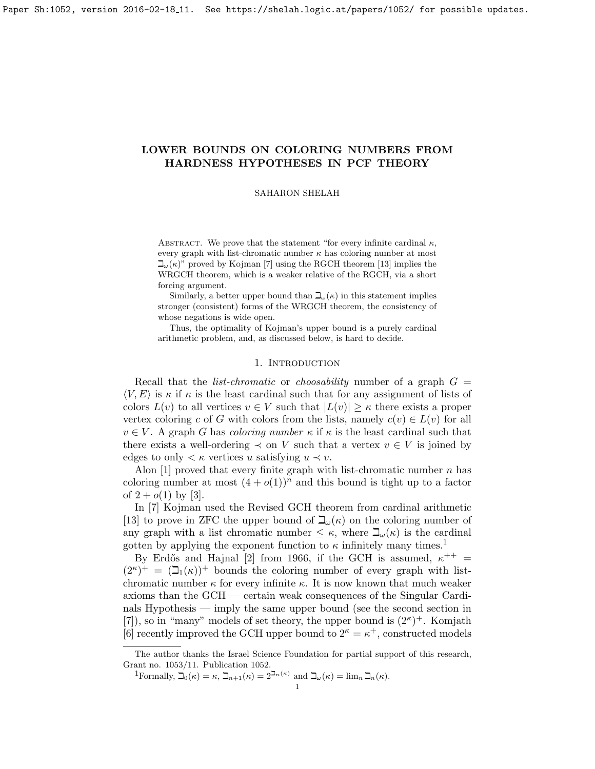# <span id="page-0-1"></span>LOWER BOUNDS ON COLORING NUMBERS FROM HARDNESS HYPOTHESES IN PCF THEORY

SAHARON SHELAH

ABSTRACT. We prove that the statement "for every infinite cardinal  $\kappa$ , every graph with list-chromatic number  $\kappa$  has coloring number at most  $\mathbb{L}(\kappa)$ " proved by Kojman [\[7\]](#page-13-0) using the RGCH theorem [\[13\]](#page-13-1) implies the WRGCH theorem, which is a weaker relative of the RGCH, via a short forcing argument.

Similarly, a better upper bound than  $\mathbb{L}_{\alpha}(\kappa)$  in this statement implies stronger (consistent) forms of the WRGCH theorem, the consistency of whose negations is wide open.

Thus, the optimality of Kojman's upper bound is a purely cardinal arithmetic problem, and, as discussed below, is hard to decide.

### 1. Introduction

Recall that the *list-chromatic* or *choosability* number of a graph  $G =$  $\langle V, E \rangle$  is  $\kappa$  if  $\kappa$  is the least cardinal such that for any assignment of lists of colors  $L(v)$  to all vertices  $v \in V$  such that  $|L(v)| \geq \kappa$  there exists a proper vertex coloring c of G with colors from the lists, namely  $c(v) \in L(v)$  for all  $v \in V$ . A graph G has coloring number  $\kappa$  if  $\kappa$  is the least cardinal such that there exists a well-ordering  $\prec$  on V such that a vertex  $v \in V$  is joined by edges to only  $\lt \kappa$  vertices u satisfying  $u \lt v$ .

Alon  $[1]$  proved that every finite graph with list-chromatic number n has coloring number at most  $(4 + o(1))^n$  and this bound is tight up to a factor of  $2 + o(1)$  by [\[3\]](#page-13-3).

In [\[7\]](#page-13-0) Kojman used the Revised GCH theorem from cardinal arithmetic [\[13\]](#page-13-1) to prove in ZFC the upper bound of  $\beth_\omega(\kappa)$  on the coloring number of any graph with a list chromatic number  $\leq \kappa$ , where  $\beth_\omega(\kappa)$  is the cardinal gotten by applying the exponent function to  $\kappa$  infinitely many times.<sup>[1](#page-0-0)</sup>

By Erdős and Hajnal [\[2\]](#page-13-4) from 1966, if the GCH is assumed,  $\kappa^{++}$  =  $(2^{\kappa})^+ = (\mathcal{I}_1(\kappa))^+$  bounds the coloring number of every graph with listchromatic number  $\kappa$  for every infinite  $\kappa$ . It is now known that much weaker axioms than the GCH — certain weak consequences of the Singular Cardinals Hypothesis — imply the same upper bound (see the second section in [\[7\]](#page-13-0)), so in "many" models of set theory, the upper bound is  $(2^{\kappa})^+$ . Komjath [\[6\]](#page-13-5) recently improved the GCH upper bound to  $2^{\kappa} = \kappa^+$ , constructed models

The author thanks the Israel Science Foundation for partial support of this research, Grant no. 1053/11. Publication 1052.

<span id="page-0-0"></span><sup>&</sup>lt;sup>1</sup>Formally,  $\mathfrak{I}_0(\kappa) = \kappa$ ,  $\mathfrak{I}_{n+1}(\kappa) = 2^{\mathfrak{I}_{n}(\kappa)}$  and  $\mathfrak{I}_{\omega}(\kappa) = \lim_{n} \mathfrak{I}_{n}(\kappa)$ .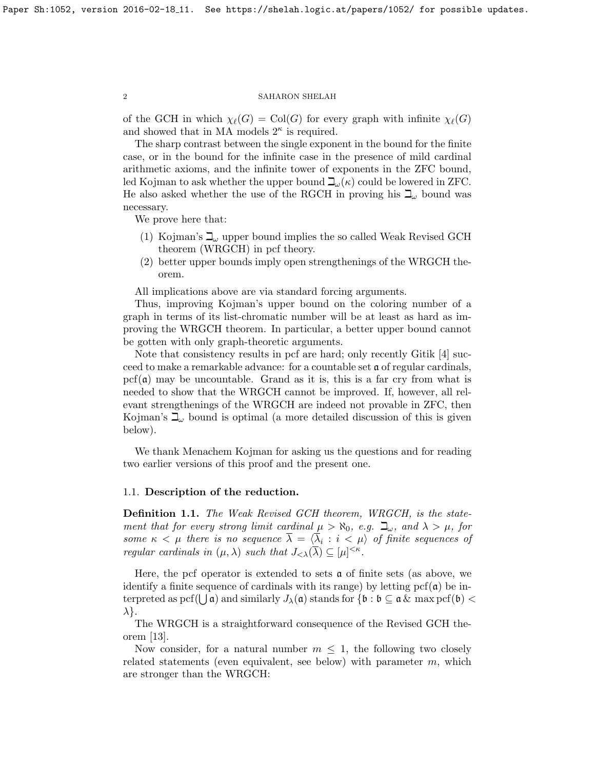of the GCH in which  $\chi_{\ell}(G) = \text{Col}(G)$  for every graph with infinite  $\chi_{\ell}(G)$ and showed that in MA models  $2^{\kappa}$  is required.

The sharp contrast between the single exponent in the bound for the finite case, or in the bound for the infinite case in the presence of mild cardinal arithmetic axioms, and the infinite tower of exponents in the ZFC bound, led Kojman to ask whether the upper bound  $\mathbb{L}(\kappa)$  could be lowered in ZFC. He also asked whether the use of the RGCH in proving his  $\mathbb{Z}_{\omega}$  bound was necessary.

We prove here that:

- (1) Kojman's  $\beth_{\omega}$  upper bound implies the so called Weak Revised GCH theorem (WRGCH) in pcf theory.
- (2) better upper bounds imply open strengthenings of the WRGCH theorem.

All implications above are via standard forcing arguments.

Thus, improving Kojman's upper bound on the coloring number of a graph in terms of its list-chromatic number will be at least as hard as improving the WRGCH theorem. In particular, a better upper bound cannot be gotten with only graph-theoretic arguments.

Note that consistency results in pcf are hard; only recently Gitik [\[4\]](#page-13-6) succeed to make a remarkable advance: for a countable set a of regular cardinals,  $\text{pcf}(\mathfrak{a})$  may be uncountable. Grand as it is, this is a far cry from what is needed to show that the WRGCH cannot be improved. If, however, all relevant strengthenings of the WRGCH are indeed not provable in ZFC, then Kojman's  $\mathbb{L}_{\omega}$  bound is optimal (a more detailed discussion of this is given below).

We thank Menachem Kojman for asking us the questions and for reading two earlier versions of this proof and the present one.

## 1.1. Description of the reduction.

Definition 1.1. The Weak Revised GCH theorem, WRGCH, is the statement that for every strong limit cardinal  $\mu > \aleph_0$ , e.g.  $\beth_\omega$ , and  $\lambda > \mu$ , for some  $\kappa < \mu$  there is no sequence  $\lambda = \langle \lambda_i : i < \mu \rangle$  of finite sequences of regular cardinals in  $(\mu, \lambda)$  such that  $J_{\langle \lambda \rangle}(\overline{\lambda}) \subseteq [\mu]^{<\kappa}$ .

Here, the pcf operator is extended to sets  $\boldsymbol{\alpha}$  of finite sets (as above, we identify a finite sequence of cardinals with its range) by letting  $\text{pcf}(\mathfrak{a})$  be interpreted as pcf( $\bigcup$   $\mathfrak{a}$ ) and similarly  $J_\lambda(\mathfrak{a})$  stands for  $\{\mathfrak{b} : \mathfrak{b} \subseteq \mathfrak{a} \,\&\, \max \mathrm{pcf} (\mathfrak{b}) < 0\}$  $\lambda$ .

The WRGCH is a straightforward consequence of the Revised GCH theorem [\[13\]](#page-13-1).

Now consider, for a natural number  $m \leq 1$ , the following two closely related statements (even equivalent, see below) with parameter  $m$ , which are stronger than the WRGCH: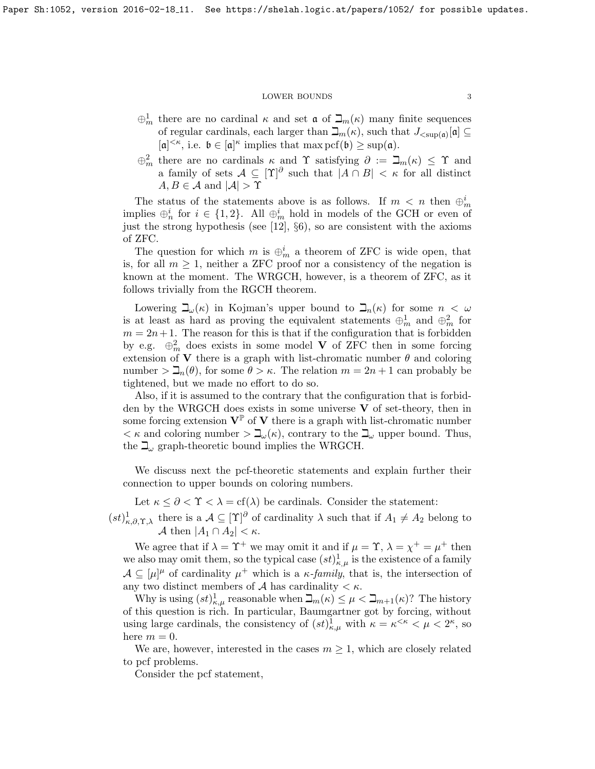- $\oplus_m^1$  there are no cardinal  $\kappa$  and set  $\mathfrak{a}$  of  $\mathfrak{I}_m(\kappa)$  many finite sequences of regular cardinals, each larger than  $\mathcal{L}_m(\kappa)$ , such that  $J_{\langle \text{supp}(\mathfrak{a})}[\mathfrak{a}] \subseteq$  $[a]^{<\kappa}$ , i.e.  $\mathfrak{b} \in [a]^{\kappa}$  implies that  $\max \mathrm{pcf}(\mathfrak{b}) \geq \sup(a)$ .
- $\oplus_m^2$  there are no cardinals  $\kappa$  and  $\Upsilon$  satisfying  $\partial := \beth_m(\kappa) \leq \Upsilon$  and a family of sets  $A \subseteq [\Upsilon]^\partial$  such that  $|A \cap B| < \kappa$  for all distinct  $A, B \in \mathcal{A}$  and  $|\mathcal{A}| > \Upsilon$

The status of the statements above is as follows. If  $m \leq n$  then  $\bigoplus_{m=1}^{n}$ implies  $\oplus_n^i$  for  $i \in \{1,2\}$ . All  $\oplus_m^i$  hold in models of the GCH or even of just the strong hypothesis (see [\[12\]](#page-13-7), §6), so are consistent with the axioms of ZFC.

The question for which m is  $\oplus_m^i$  a theorem of ZFC is wide open, that is, for all  $m \geq 1$ , neither a ZFC proof nor a consistency of the negation is known at the moment. The WRGCH, however, is a theorem of ZFC, as it follows trivially from the RGCH theorem.

Lowering  $\beth_\omega(\kappa)$  in Kojman's upper bound to  $\beth_n(\kappa)$  for some  $n < \omega$ is at least as hard as proving the equivalent statements  $\oplus_m^1$  and  $\oplus_m^2$  for  $m = 2n + 1$ . The reason for this is that if the configuration that is forbidden by e.g.  $\oplus_m^2$  does exists in some model V of ZFC then in some forcing extension of **V** there is a graph with list-chromatic number  $\theta$  and coloring number  $\sum_n(\theta)$ , for some  $\theta > \kappa$ . The relation  $m = 2n + 1$  can probably be tightened, but we made no effort to do so.

Also, if it is assumed to the contrary that the configuration that is forbidden by the WRGCH does exists in some universe  $V$  of set-theory, then in some forcing extension  $V^{\mathbb{P}}$  of V there is a graph with list-chromatic number  $\lt \kappa$  and coloring number  $\gt \mathbb{L}_{\omega}(\kappa)$ , contrary to the  $\mathbb{L}_{\omega}$  upper bound. Thus, the  $\mathbb{L}_{\omega}$  graph-theoretic bound implies the WRGCH.

We discuss next the pcf-theoretic statements and explain further their connection to upper bounds on coloring numbers.

Let  $\kappa \leq \partial < \Upsilon < \lambda = \text{cf}(\lambda)$  be cardinals. Consider the statement:

 $(st)_{\kappa,\partial,\Upsilon,\lambda}^1$  there is a  $\mathcal{A} \subseteq [\Upsilon]^\partial$  of cardinality  $\lambda$  such that if  $A_1 \neq A_2$  belong to A then  $|A_1 \cap A_2| < \kappa$ .

We agree that if  $\lambda = \Upsilon^+$  we may omit it and if  $\mu = \Upsilon$ ,  $\lambda = \chi^+ = \mu^+$  then we also may omit them, so the typical case  $(st)_{\kappa,\mu}^1$  is the existence of a family  $\mathcal{A} \subseteq [\mu]^{\mu}$  of cardinality  $\mu^{+}$  which is a  $\kappa$ -family, that is, the intersection of any two distinct members of  $A$  has cardinality  $\lt \kappa$ .

Why is using  $(st)_{\kappa,\mu}^1$  reasonable when  $\mathcal{L}_m(\kappa) \leq \mu < \mathcal{L}_{m+1}(\kappa)$ ? The history of this question is rich. In particular, Baumgartner got by forcing, without using large cardinals, the consistency of  $(st)_{\kappa,\mu}^1$  with  $\kappa = \kappa^{\leq \kappa} < \mu < 2^{\kappa}$ , so here  $m = 0$ .

We are, however, interested in the cases  $m \geq 1$ , which are closely related to pcf problems.

Consider the pcf statement,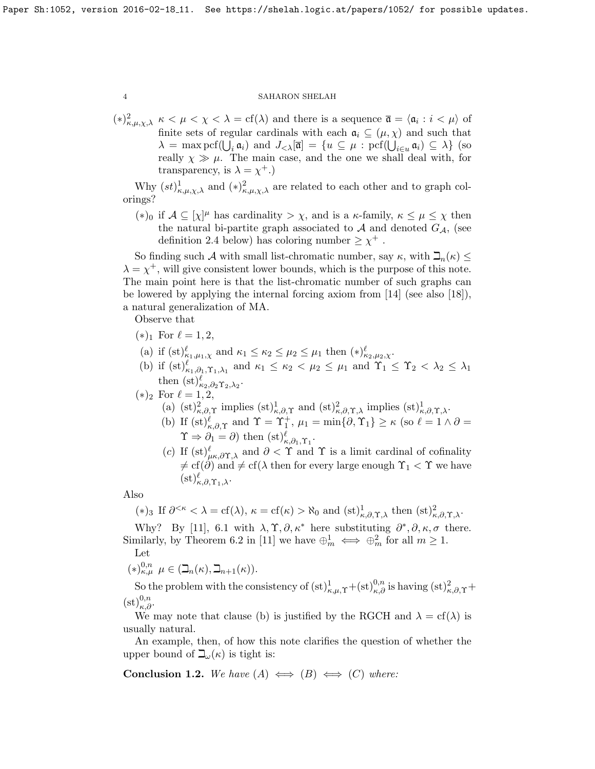$(*)_{\kappa,\mu,\chi,\lambda}^2$   $\kappa < \mu < \chi < \lambda = \text{cf}(\lambda)$  and there is a sequence  $\bar{\mathfrak{a}} = \langle \mathfrak{a}_i : i < \mu \rangle$  of finite sets of regular cardinals with each  $a_i \subseteq (\mu, \chi)$  and such that  $\lambda = \max \mathrm{pcf}(\bigcup_i \mathfrak{a}_i)$  and  $J_{\lt \lambda}[\overline{\mathfrak{a}}] = \{u \subseteq \mu : \mathrm{pcf}(\bigcup_{i \in u} \mathfrak{a}_i) \subseteq \lambda\}$  (so really  $\chi \gg \mu$ . The main case, and the one we shall deal with, for transparency, is  $\lambda = \chi^+$ .)

Why  $(st)_{\kappa,\mu,\chi,\lambda}^1$  and  $(*)_{\kappa,\mu,\chi,\lambda}^2$  are related to each other and to graph colorings?

(\*)<sub>0</sub> if  $\mathcal{A} \subseteq [\chi]^{\mu}$  has cardinality >  $\chi$ , and is a  $\kappa$ -family,  $\kappa \leq \mu \leq \chi$  then the natural bi-partite graph associated to  $A$  and denoted  $G_A$ , (see definition [2.4](#page-0-1) below) has coloring number  $\geq \chi^+$ .

So finding such A with small list-chromatic number, say  $\kappa$ , with  $\Box_n(\kappa) \leq$  $\lambda = \chi^+$ , will give consistent lower bounds, which is the purpose of this note. The main point here is that the list-chromatic number of such graphs can be lowered by applying the internal forcing axiom from  $[14]$  (see also  $[18]$ ), a natural generalization of MA.

Observe that

- $(*)_1$  For  $\ell = 1, 2,$
- (a) if  $(st)_{\kappa_1,\mu_1,\chi}^{\ell}$  and  $\kappa_1 \leq \kappa_2 \leq \mu_2 \leq \mu_1$  then  $(*)_{\kappa_2,\mu_2,\chi}^{\ell}$ .
- (b) if  $(st)_{\kappa_1,\partial_1,\Upsilon_1,\lambda_1}^{\ell}$  and  $\kappa_1 \leq \kappa_2 < \mu_2 \leq \mu_1$  and  $\Upsilon_1 \leq \Upsilon_2 < \lambda_2 \leq \lambda_1$ then  $(\mathrm{st})^{\ell}_{\kappa_2,\partial_2\Upsilon_2,\lambda_2}.$
- $(*)_2$  For  $\ell = 1, 2,$ 
	- (a)  $(st)^2_{\kappa,\partial,\Upsilon}$  implies  $(st)^1_{\kappa,\partial,\Upsilon}$  and  $(st)^2_{\kappa,\partial,\Upsilon,\lambda}$  implies  $(st)^1_{\kappa,\partial,\Upsilon,\lambda}$ .
	- (b) If  $(st)_{\kappa,\partial,\Upsilon}^{\ell}$  and  $\Upsilon = \Upsilon_1^+, \mu_1 = \min\{\partial,\Upsilon_1\} \geq \kappa$  (so  $\ell = 1 \wedge \partial =$  $\Upsilon \Rightarrow \partial_1 = \partial$  then  $(\mathrm{st})^{\ell}_{\kappa, \partial_1, \Upsilon_1}$ .
	- (c) If  $(st)_{\mu\kappa,\partial\Upsilon,\lambda}^{\ell}$  and  $\partial < \Upsilon$  and  $\Upsilon$  is a limit cardinal of cofinality  $\neq cf(\partial)$  and  $\neq cf(\lambda)$  then for every large enough  $\Upsilon_1 < \Upsilon$  we have  $(\mathrm{st})_{\kappa,\partial,\Upsilon_1,\lambda}^{\ell}.$

Also

(\*)<sub>3</sub> If  $\partial^{\leq\kappa} < \lambda = cf(\lambda), \kappa = cf(\kappa) > \aleph_0$  and  $(st)_{\kappa,\partial,\Upsilon,\lambda}^1$  then  $(st)_{\kappa,\partial,\Upsilon,\lambda}^2$ .

Why? By [\[11\]](#page-13-10), 6.1 with  $\lambda, \Upsilon, \partial, \kappa^*$  here substituting  $\partial^*, \partial, \kappa, \sigma$  there. Similarly, by Theorem 6.2 in [\[11\]](#page-13-10) we have  $\bigoplus_m^1 \iff \bigoplus_m^2$  for all  $m \ge 1$ .

Let

$$
(*)_{\kappa,\mu}^{0,n} \mu \in (\mathbb{Z}_n(\kappa), \mathbb{Z}_{n+1}(\kappa)).
$$

So the problem with the consistency of  $(st)_{\kappa,\mu,\Upsilon}^1+(st)_{\kappa,\partial}^{0,n}$  is having  $(st)_{\kappa,\partial,\Upsilon}^2+$  $(\mathrm{st})_{\kappa,\partial}^{0,n}.$ 

We may note that clause (b) is justified by the RGCH and  $\lambda = cf(\lambda)$  is usually natural.

An example, then, of how this note clarifies the question of whether the upper bound of  $\beth_\omega(\kappa)$  is tight is:

<span id="page-3-0"></span>**Conclusion 1.2.** We have  $(A) \iff (B) \iff (C)$  where: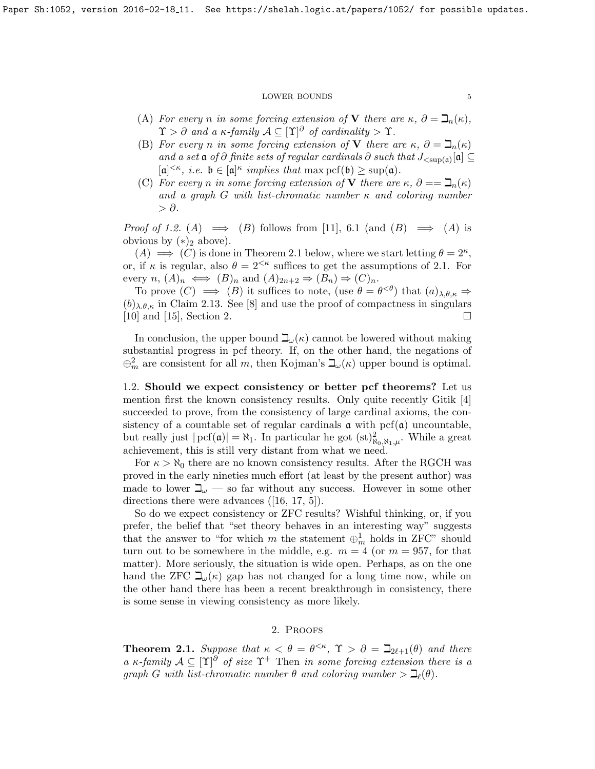- (A) For every n in some forcing extension of V there are  $\kappa$ ,  $\partial = \mathcal{L}_n(\kappa)$ ,  $\Upsilon > \partial$  and a  $\kappa$ -family  $\mathcal{A} \subseteq [\Upsilon]^\partial$  of cardinality  $> \Upsilon$ .
- (B) For every n in some forcing extension of V there are  $\kappa$ ,  $\partial = \mathbb{I}_n(\kappa)$ and a set  $\mathfrak a$  of  $\partial$  finite sets of regular cardinals  $\partial$  such that  $J_{\langle \sup(\mathfrak a)[\mathfrak a]\rangle}[\mathfrak a] \subseteq$  $[a]^{<\kappa}, i.e. \mathfrak{b} \in [a]^{\kappa}$  implies that  $\max \mathrm{pcf(b)} \geq \sup(a).$
- (C) For every n in some forcing extension of V there are  $\kappa$ ,  $\partial = = \mathcal{I}_n(\kappa)$ and a graph G with list-chromatic number  $\kappa$  and coloring number  $> \partial$ .

*Proof of [1.2.](#page-3-0)* (A)  $\implies$  (B) follows from [\[11\]](#page-13-10), 6.1 (and (B)  $\implies$  (A) is obvious by  $(*)_2$  above).

 $(A) \implies (C)$  is done in Theorem 2.1 below, where we start letting  $\theta = 2^{\kappa}$ , or, if  $\kappa$  is regular, also  $\theta = 2^{<\kappa}$  suffices to get the assumptions of 2.1. For every  $n, (A)_n \iff (B)_n$  and  $(A)_{2n+2} \Rightarrow (B_n) \Rightarrow (C)_n$ .

To prove  $(C) \implies (B)$  it suffices to note, (use  $\theta = \theta^{<\theta}$ ) that  $(a)_{\lambda,\theta,\kappa} \Rightarrow$  $(b)_{\lambda,\theta,\kappa}$  in Claim [2.13.](#page-12-0) See [\[8\]](#page-13-11) and use the proof of compactness in singulars [\[10\]](#page-13-12) and [\[15\]](#page-13-13), Section 2.

In conclusion, the upper bound  $\mathcal{L}_{\psi}(\kappa)$  cannot be lowered without making substantial progress in pcf theory. If, on the other hand, the negations of  $\oplus_m^2$  are consistent for all m, then Kojman's  $\beth_\omega(\kappa)$  upper bound is optimal.

1.2. Should we expect consistency or better pcf theorems? Let us mention first the known consistency results. Only quite recently Gitik [\[4\]](#page-13-6) succeeded to prove, from the consistency of large cardinal axioms, the consistency of a countable set of regular cardinals  $\alpha$  with pcf( $\alpha$ ) uncountable, but really just  $|{\rm pcf}(\mathfrak{a})| = \aleph_1$ . In particular he got  $(st)_{\aleph_0,\aleph_1,\mu}^2$ . While a great achievement, this is still very distant from what we need.

For  $\kappa > \aleph_0$  there are no known consistency results. After the RGCH was proved in the early nineties much effort (at least by the present author) was made to lower  $\mathbb{I}_{\omega}$  — so far without any success. However in some other directions there were advances ([\[16,](#page-13-14) [17,](#page-13-15) [5\]](#page-13-16)).

So do we expect consistency or ZFC results? Wishful thinking, or, if you prefer, the belief that "set theory behaves in an interesting way" suggests that the answer to "for which m the statement  $\oplus_m^1$  holds in ZFC" should turn out to be somewhere in the middle, e.g.  $m = 4$  (or  $m = 957$ , for that matter). More seriously, the situation is wide open. Perhaps, as on the one hand the ZFC  $\beth_\omega(\kappa)$  gap has not changed for a long time now, while on the other hand there has been a recent breakthrough in consistency, there is some sense in viewing consistency as more likely.

# 2. Proofs

**Theorem 2.1.** Suppose that  $\kappa < \theta = \theta^{< \kappa}$ ,  $\Upsilon > \partial = \beth_{2\ell+1}(\theta)$  and there a κ-family  $A \subseteq [T]^{\partial}$  of size  $\Upsilon^+$  Then in some forcing extension there is a graph G with list-chromatic number  $\theta$  and coloring number  $\geq \mathfrak{I}_{\ell}(\theta)$ .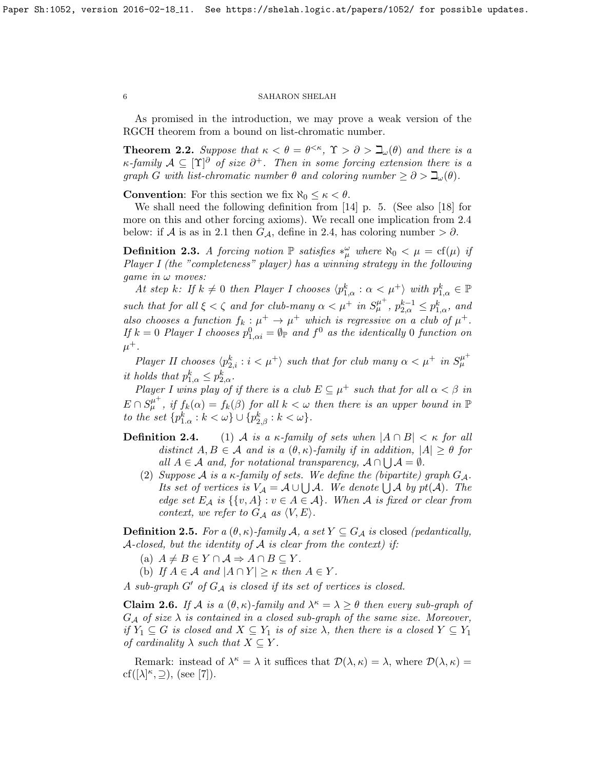As promised in the introduction, we may prove a weak version of the RGCH theorem from a bound on list-chromatic number.

**Theorem 2.2.** Suppose that  $\kappa < \theta = \theta^{<\kappa}$ ,  $\Upsilon > \partial > \beth_\omega(\theta)$  and there is a  $\kappa$ -family  $\mathcal{A} \subseteq [\Upsilon]^{\partial}$  of size  $\partial^{+}$ . Then in some forcing extension there is a graph G with list-chromatic number  $\theta$  and coloring number  $\geq \partial > \mathcal{L}_{\omega}(\theta)$ .

**Convention:** For this section we fix  $\aleph_0 \leq \kappa < \theta$ .

We shall need the following definition from [\[14\]](#page-13-8) p. 5. (See also [\[18\]](#page-13-9) for more on this and other forcing axioms). We recall one implication from 2.4 below: if A is as in 2.1 then  $G_{\mathcal{A}}$ , define in 2.4, has coloring number >  $\partial$ .

<span id="page-5-1"></span>**Definition 2.3.** A forcing notion  $\mathbb P$  satisfies  $*_\mu^\omega$  where  $\aleph_0 < \mu = \text{cf}(\mu)$  if Player I (the "completeness" player) has a winning strategy in the following *game in*  $\omega$  *moves:* 

At step k: If  $k \neq 0$  then Player I chooses  $\langle p_{1,\alpha}^k : \alpha < \mu^+ \rangle$  with  $p_{1,\alpha}^k \in \mathbb{P}$ such that for all  $\xi < \zeta$  and for club-many  $\alpha < \mu^+$  in  $S_{\mu}^{\mu^+}$ ,  $p_{2,\alpha}^{k-1} \leq p_{1,\alpha}^k$ , and also chooses a function  $f_k : \mu^+ \to \mu^+$  which is regressive on a club of  $\mu^+$ . If  $k = 0$  Player I chooses  $p_{1,\alpha i}^0 = \emptyset_{\mathbb{P}}$  and  $f^0$  as the identically 0 function on  $\mu^+$ .

Player II chooses  $\langle p_{2,i}^k : i < \mu^+ \rangle$  such that for club many  $\alpha < \mu^+$  in  $S_{\mu}^{\mu^+}$ it holds that  $p_{1,\alpha}^k \leq p_{2,\alpha}^k$ .

Player I wins play of if there is a club  $E \subseteq \mu^+$  such that for all  $\alpha < \beta$  in  $E \cap S_{\mu}^{\mu^+}$ , if  $f_k(\alpha) = f_k(\beta)$  for all  $k < \omega$  then there is an upper bound in  $\mathbb P$ to the set  ${p_{1,\alpha}^k : k < \omega} \cup {p_{2,\beta}^k : k < \omega}.$ 

- **Definition 2.4.** (1) A is a  $\kappa$ -family of sets when  $|A \cap B| < \kappa$  for all distinct  $A, B \in \mathcal{A}$  and is a  $(\theta, \kappa)$ -family if in addition,  $|A| \geq \theta$  for all  $A \in \mathcal{A}$  and, for notational transparency,  $A \cap \bigcup \mathcal{A} = \emptyset$ .
	- (2) Suppose A is a  $\kappa$ -family of sets. We define the (bipartite) graph  $G_{\mathcal{A}}$ . Its set of vertices is  $V_A = A \cup \bigcup A$ . We denote  $\bigcup A$  by  $pt(A)$ . The edge set  $E_A$  is  $\{\{v, A\} : v \in A \in \mathcal{A}\}\$ . When A is fixed or clear from context, we refer to  $G_A$  as  $\langle V, E \rangle$ .

<span id="page-5-0"></span>**Definition 2.5.** For a  $(\theta, \kappa)$ -family A, a set  $Y \subseteq G_{\mathcal{A}}$  is closed (pedantically, A-closed, but the identity of  $A$  is clear from the context) if:

- (a)  $A \neq B \in Y \cap A \Rightarrow A \cap B \subseteq Y$ .
- (b) If  $A \in \mathcal{A}$  and  $|A \cap Y| \geq \kappa$  then  $A \in Y$ .

A sub-graph  $G'$  of  $G_A$  is closed if its set of vertices is closed.

**Claim 2.6.** If A is a  $(\theta, \kappa)$ -family and  $\lambda^{\kappa} = \lambda \geq \theta$  then every sub-graph of  $G_{\mathcal{A}}$  of size  $\lambda$  is contained in a closed sub-graph of the same size. Moreover, if  $Y_1 \subseteq G$  is closed and  $X \subseteq Y_1$  is of size  $\lambda$ , then there is a closed  $Y \subseteq Y_1$ of cardinality  $\lambda$  such that  $X \subseteq Y$ .

Remark: instead of  $\lambda^k = \lambda$  it suffices that  $\mathcal{D}(\lambda, \kappa) = \lambda$ , where  $\mathcal{D}(\lambda, \kappa) =$ cf( $[\lambda]^{\kappa}, \supseteq$ ), (see [\[7\]](#page-13-0)).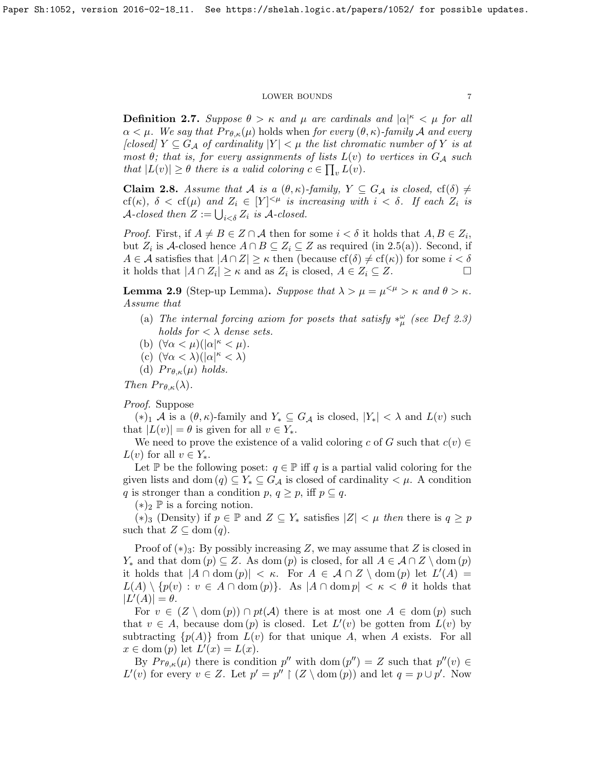**Definition 2.7.** Suppose  $\theta > \kappa$  and  $\mu$  are cardinals and  $|\alpha|^{\kappa} < \mu$  for all  $\alpha < \mu$ . We say that  $Pr_{\theta,\kappa}(\mu)$  holds when for every  $(\theta,\kappa)$ -family A and every [closed]  $Y \subseteq G_{\mathcal{A}}$  of cardinality  $|Y| < \mu$  the list chromatic number of Y is at most  $\theta$ ; that is, for every assignments of lists  $L(v)$  to vertices in  $G_A$  such that  $|L(v)| \geq \theta$  there is a valid coloring  $c \in \prod_v L(v)$ .

<span id="page-6-0"></span>**Claim 2.8.** Assume that A is a  $(\theta, \kappa)$ -family,  $Y \subseteq G_{\mathcal{A}}$  is closed,  $cf(\delta) \neq$ cf(κ),  $\delta <$  cf(μ) and  $Z_i \in [Y]^{<\mu}$  is increasing with  $i < \delta$ . If each  $Z_i$  is  $\mathcal{A}\text{-closed}$  then  $Z := \bigcup_{i < \delta} Z_i$  is  $\mathcal{A}\text{-closed}$ .

*Proof.* First, if  $A \neq B \in \mathbb{Z} \cap \mathcal{A}$  then for some  $i < \delta$  it holds that  $A, B \in \mathbb{Z}_i$ , but  $Z_i$  is A-closed hence  $A \cap B \subseteq Z_i \subseteq Z$  as required (in [2.5\(](#page-5-0)a)). Second, if  $A \in \mathcal{A}$  satisfies that  $|A \cap Z| \geq \kappa$  then (because  $cf(\delta) \neq cf(\kappa)$ ) for some  $i < \delta$ it holds that  $|A \cap Z_i| \ge \kappa$  and as  $Z_i$  is closed,  $A \in Z_i \subseteq Z$ .

<span id="page-6-1"></span>**Lemma 2.9** (Step-up Lemma). Suppose that  $\lambda > \mu = \mu^{1/2} > \kappa$  and  $\theta > \kappa$ . Assume that

- (a) The internal forcing axiom for posets that satisfy  $*_{\mu}^{\omega}$  (see Def [2.3\)](#page-5-1) holds for  $\langle \lambda \rangle$  dense sets.
- (b)  $(\forall \alpha < \mu)(|\alpha|^{\kappa} < \mu).$
- (c)  $(\forall \alpha < \lambda)(|\alpha|^{\kappa} < \lambda)$
- (d)  $Pr_{\theta,\kappa}(\mu)$  holds.

Then  $Pr_{\theta,\kappa}(\lambda)$ .

Proof. Suppose

 $(*)_1$  A is a  $(\theta, \kappa)$ -family and  $Y_* \subseteq G_{\mathcal{A}}$  is closed,  $|Y_*| < \lambda$  and  $L(v)$  such that  $|L(v)| = \theta$  is given for all  $v \in Y_*$ .

We need to prove the existence of a valid coloring c of G such that  $c(v) \in$  $L(v)$  for all  $v \in Y_*$ .

Let P be the following poset:  $q \in \mathbb{P}$  iff q is a partial valid coloring for the given lists and dom  $(q) \subseteq Y_* \subseteq G_{\mathcal{A}}$  is closed of cardinality  $\lt \mu$ . A condition q is stronger than a condition p,  $q \geq p$ , iff  $p \subseteq q$ .

 $(*)_2 \nightharpoonup$  is a forcing notion.

(\*)<sub>3</sub> (Density) if *p* ∈  $\mathbb P$  and *Z* ⊆ *Y*<sub>\*</sub> satisfies  $|Z|$  < *μ* then there is *q* ≥ *p* such that  $Z \subseteq \text{dom}(q)$ .

Proof of  $(*)_3$ : By possibly increasing Z, we may assume that Z is closed in  $Y_*$  and that dom  $(p) \subseteq Z$ . As dom  $(p)$  is closed, for all  $A \in \mathcal{A} \cap Z \setminus$  dom  $(p)$ it holds that  $|A \cap \text{dom}(p)| < \kappa$ . For  $A \in \mathcal{A} \cap Z \setminus \text{dom}(p)$  let  $L'(A) =$  $L(A) \setminus \{p(v) : v \in A \cap \text{dom}(p)\}.$  As  $|A \cap \text{dom}(p)| < \kappa < \theta$  it holds that  $|L'(A)| = \theta.$ 

For  $v \in (Z \setminus \text{dom}(p)) \cap pt(\mathcal{A})$  there is at most one  $A \in \text{dom}(p)$  such that  $v \in A$ , because dom  $(p)$  is closed. Let  $L'(v)$  be gotten from  $L(v)$  by subtracting  $\{p(A)\}\$ from  $L(v)$  for that unique A, when A exists. For all  $x \in \text{dom}(p)$  let  $L'(x) = L(x)$ .

By  $Pr_{\theta,\kappa}(\mu)$  there is condition  $p''$  with dom  $(p'') = Z$  such that  $p''(v) \in$  $L'(v)$  for every  $v \in Z$ . Let  $p' = p'' \upharpoonright (Z \setminus \text{dom}(p))$  and let  $q = p \cup p'$ . Now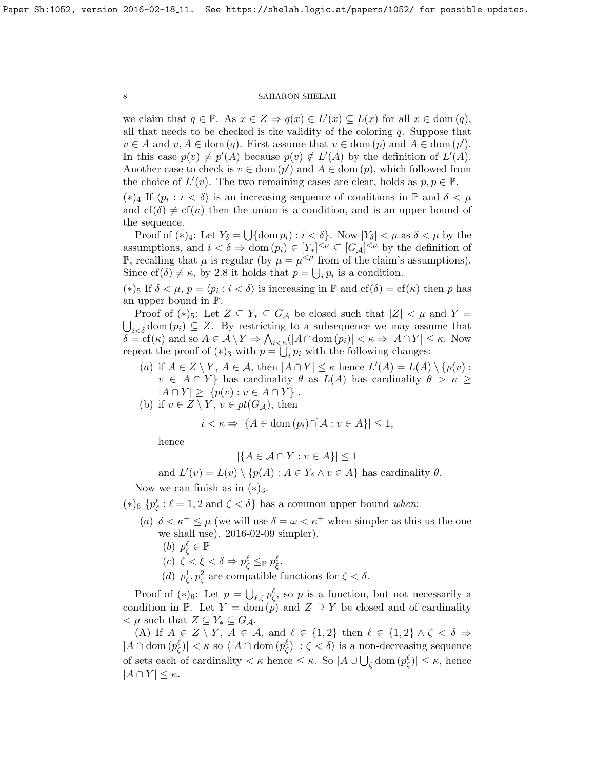we claim that  $q \in \mathbb{P}$ . As  $x \in Z \Rightarrow q(x) \in L'(x) \subseteq L(x)$  for all  $x \in \text{dom}(q)$ , all that needs to be checked is the validity of the coloring  $q$ . Suppose that  $v \in A$  and  $v, A \in \text{dom}(q)$ . First assume that  $v \in \text{dom}(p)$  and  $A \in \text{dom}(p')$ . In this case  $p(v) \neq p'(A)$  because  $p(v) \notin L'(A)$  by the definition of  $L'(A)$ . Another case to check is  $v \in \text{dom}(p')$  and  $A \in \text{dom}(p)$ , which followed from the choice of  $L'(v)$ . The two remaining cases are clear, holds as  $p, p \in \mathbb{P}$ .

(\*)<sub>4</sub> If  $\langle p_i : i < \delta \rangle$  is an increasing sequence of conditions in  $\mathbb{P}$  and  $\delta < \mu$ and  $cf(\delta) \neq cf(\kappa)$  then the union is a condition, and is an upper bound of the sequence.

Proof of  $(*)_4$ : Let  $Y_\delta = \bigcup \{\text{dom } p_i : i < \delta\}$ . Now  $|Y_\delta| < \mu$  as  $\delta < \mu$  by the assumptions, and  $i < \delta \Rightarrow \text{dom}(p_i) \in [Y_*]^{<\mu} \subseteq [G_{\mathcal{A}}]^{<\mu}$  by the definition of P, recalling that  $\mu$  is regular (by  $\mu = \mu^{<\mu}$  from of the claim's assumptions). Since  $cf(\delta) \neq \kappa$ , by [2.8](#page-6-0) it holds that  $p = \bigcup_i p_i$  is a condition.

(\*)<sub>5</sub> If  $\delta < \mu$ ,  $\bar{p} = \langle p_i : i < \delta \rangle$  is increasing in  $\mathbb{P}$  and  $cf(\delta) = cf(\kappa)$  then  $\bar{p}$  has an upper bound in P.

Proof of  $(*)_5$ : Let  $Z \subseteq Y_* \subseteq G_{\mathcal{A}}$  be closed such that  $|Z| < \mu$  and  $Y =$  $\bigcup_{i<\delta}$  dom  $(p_i)\subseteq Z$ . By restricting to a subsequence we may assume that  $\delta = \text{cf}(\kappa)$  and so  $A \in \mathcal{A} \setminus Y \Rightarrow \bigwedge_{i \leq \kappa} (|A \cap \text{dom}(p_i)| < \kappa \Rightarrow |A \cap Y| \leq \kappa$ . Now repeat the proof of  $(*)_3$  with  $p = \bigcup_i p_i$  with the following changes:

- (a) if  $A \in Z \setminus Y$ ,  $A \in \mathcal{A}$ , then  $|A \cap Y| \leq \kappa$  hence  $L'(A) = L(A) \setminus \{p(v) :$  $v \in A \cap Y$  has cardinality  $\theta$  as  $L(A)$  has cardinality  $\theta > \kappa \geq$  $|A \cap Y| \geq |\{p(v) : v \in A \cap Y\}|.$
- (b) if  $v \in Z \setminus Y$ ,  $v \in pt(G_{\mathcal{A}})$ , then

$$
i < \kappa \Rightarrow |\{A \in \text{dom}(p_i) \cap \mathcal{A} : v \in A\}| \le 1,
$$

hence

$$
|\{A \in \mathcal{A} \cap Y : v \in A\}| \le 1
$$

and  $L'(v) = L(v) \setminus \{p(A) : A \in Y_\delta \land v \in A\}$  has cardinality  $\theta$ .

Now we can finish as in  $(*)_3$ .

- (\*)<sub>6</sub> { $p^{\ell}$  :  $\ell = 1, 2$  and  $\zeta < \delta$ } has a common upper bound *when*:
	- (a)  $\delta < \kappa^+ \leq \mu$  (we will use  $\delta = \omega < \kappa^+$  when simpler as this us the one we shall use). 2016-02-09 simpler). (b)  $p_{\zeta}^{\ell} \in \mathbb{P}$ (c)  $\zeta < \xi < \delta \Rightarrow p_{\zeta}^{\ell} \leq_{\mathbb{P}} p_{\xi}^{\ell}$ .
		- (d)  $p_{\zeta}^1, p_{\zeta}^2$  are compatible functions for  $\zeta < \delta$ .

Proof of  $(*)_6$ : Let  $p = \bigcup_{\ell, \zeta} p_{\zeta}^{\ell}$ , so p is a function, but not necessarily a condition in P. Let  $Y = \text{dom}(p)$  and  $Z \supseteq Y$  be closed and of cardinality  $\lt \mu$  such that  $Z \subseteq Y_* \subseteq G_{\mathcal{A}}$ .

(A) If  $A \in Z \setminus Y$ ,  $A \in \mathcal{A}$ , and  $\ell \in \{1, 2\}$  then  $\ell \in \{1, 2\} \wedge \zeta < \delta \Rightarrow$  $|A \cap \text{dom}(p^{\ell}_{\zeta})| < \kappa$  so  $\langle |A \cap \text{dom}(p^{\ell}_{\zeta})| : \zeta < \delta \rangle$  is a non-decreasing sequence of sets each of cardinality  $\lt \kappa$  hence  $\leq \kappa$ . So  $|A \cup \bigcup_{\zeta}$  dom  $(p_{\zeta}^{\ell})| \leq \kappa$ , hence  $|A \cap Y| \leq \kappa$ .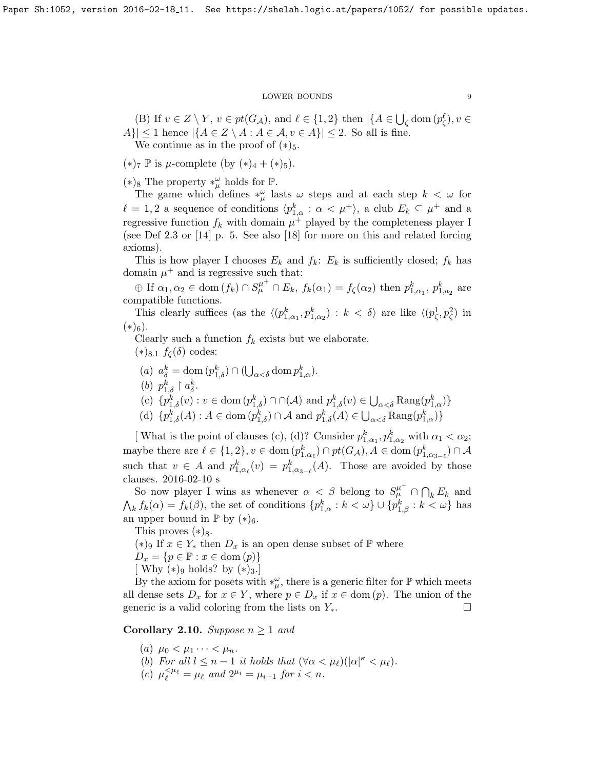(B) If  $v \in Z \setminus Y$ ,  $v \in pt(G_{\mathcal{A}})$ , and  $\ell \in \{1,2\}$  then  $|\{A \in \bigcup_{\zeta} \text{dom}(p_{\zeta}^{\ell}), v \in$  $|A\rangle| \leq 1$  hence  $|\{A \in \mathbb{Z} \setminus A : A \in \mathcal{A}, v \in A\}| \leq 2$ . So all is fine. We continue as in the proof of  $(*)_5$ .

 $(*)_7 \nvert$  is  $\mu$ -complete (by  $(*)_4 + (*)_5$ ).

(\*)<sub>8</sub> The property  $*^{\omega}_{\mu}$  holds for **ℙ**.

The game which defines  $*_\mu^\omega$  lasts  $\omega$  steps and at each step  $k < \omega$  for  $\ell = 1, 2$  a sequence of conditions  $\langle p_{1,\alpha}^k : \alpha < \mu^+ \rangle$ , a club  $E_k \subseteq \mu^+$  and a regressive function  $f_k$  with domain  $\mu^+$  played by the completeness player I (see Def [2.3](#page-5-1) or [\[14\]](#page-13-8) p. 5. See also [\[18\]](#page-13-9) for more on this and related forcing axioms).

This is how player I chooses  $E_k$  and  $f_k$ :  $E_k$  is sufficiently closed;  $f_k$  has domain  $\mu^+$  and is regressive such that:

 $\oplus$  If  $\alpha_1, \alpha_2 \in \text{dom}(f_k) \cap S^{\mu^+}_{\mu} \cap E_k$ ,  $f_k(\alpha_1) = f_{\zeta}(\alpha_2)$  then  $p_{1,\alpha_1}^k$ ,  $p_{1,\alpha_2}^k$  are compatible functions.

This clearly suffices (as the  $\langle (p_{1,\alpha_1}^k, p_{1,\alpha_2}^k) : k < \delta \rangle$  are like  $\langle (p_{\zeta}^1, p_{\zeta}^2)$  in  $(*)_6$ ).

Clearly such a function  $f_k$  exists but we elaborate.

 $(*)_{8.1} f_{\zeta}(\delta)$  codes:

(a) 
$$
a_{\delta}^{k} = \text{dom}(p_{1,\delta}^{k}) \cap (\bigcup_{\alpha < \delta} \text{dom } p_{1,\alpha}^{k}).
$$

- (b)  $p_{1,\delta}^k \restriction a_{\delta}^k$ .
- (c)  $\{p_{1,\delta}^k(v) : v \in \text{dom}(p_{1,\delta}^k) \cap \cap (\mathcal{A}) \text{ and } p_{1,\delta}^k(v) \in \bigcup_{\alpha < \delta} \text{Rang}(p_{1,\alpha}^k) \}$
- (d)  $\{p_{1,\delta}^k(A) : A \in \text{dom}(p_{1,\delta}^k) \cap \mathcal{A} \text{ and } p_{1,\delta}^k(A) \in \bigcup_{\alpha < \delta} \text{Rang}(p_{1,\alpha}^k)\}\$

[What is the point of clauses (c), (d)? Consider  $p_{1,\alpha_1}^k, p_{1,\alpha_2}^k$  with  $\alpha_1 < \alpha_2$ ; maybe there are  $\ell \in \{1,2\}, v \in \text{dom}(p_{1,\alpha_{\ell}}^k) \cap pt(G_{\mathcal{A}}), A \in \text{dom}(p_{1,\alpha_{3-\ell}}^k) \cap \mathcal{A}$ such that  $v \in A$  and  $p_{1,\alpha_{\ell}}^k(v) = p_{1,\alpha_{3-\ell}}^k(A)$ . Those are avoided by those clauses. 2016-02-10 s

So now player I wins as whenever  $\alpha < \beta$  belong to  $S^{\mu^+}_{\mu} \cap \bigcap_k E_k$  and  $\bigwedge_k f_k(\alpha) = f_k(\beta)$ , the set of conditions  $\{p_{1,\alpha}^k : k < \omega\} \cup \{p_{1,\beta}^k : k < \omega\}$  has an upper bound in  $\mathbb{P}$  by  $(*)_6$ .

This proves  $(*)_8$ .

(\*)<sup>9</sup> If  $x \in Y_*$  then  $D_x$  is an open dense subset of  $\mathbb P$  where

 $D_x = \{p \in \mathbb{P} : x \in \text{dom}(p)\}\$ 

[ Why  $(*)_9$  holds? by  $(*)_3$ .]

By the axiom for posets with  $*_\mu^\omega$ , there is a generic filter for  $\mathbb P$  which meets all dense sets  $D_x$  for  $x \in Y$ , where  $p \in D_x$  if  $x \in \text{dom}(p)$ . The union of the generic is a valid coloring from the lists on  $Y_*$ .

<span id="page-8-0"></span>Corollary 2.10. Suppose  $n \geq 1$  and

- (a)  $\mu_0 < \mu_1 \cdots < \mu_n$ .
- (b) For all  $l \leq n-1$  it holds that  $(\forall \alpha < \mu_\ell)(|\alpha|^{\kappa} < \mu_\ell)$ .
- (c)  $\mu_{\ell}^{<\mu_{\ell}} = \mu_{\ell}$  and  $2^{\mu_i} = \mu_{i+1}$  for  $i < n$ .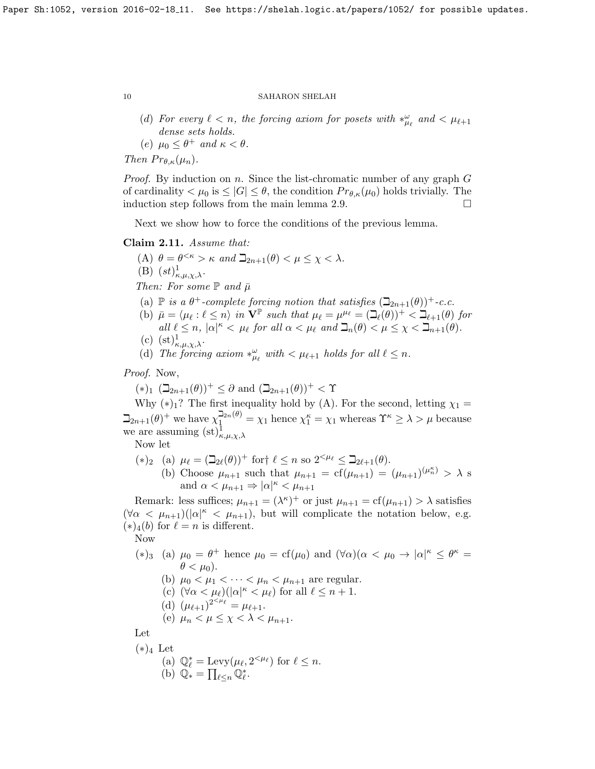- (d) For every  $\ell < n$ , the forcing axiom for posets with  $*_{\mu_{\ell}}^{\omega}$  and  $< \mu_{\ell+1}$ dense sets holds.
- (e)  $\mu_0 \leq \theta^+$  and  $\kappa < \theta$ .

Then  $Pr_{\theta,\kappa}(\mu_n)$ .

*Proof.* By induction on n. Since the list-chromatic number of any graph  $G$ of cardinality  $\lt \mu_0$  is  $\leq |G| \leq \theta$ , the condition  $Pr_{\theta,\kappa}(\mu_0)$  holds trivially. The induction step follows from the main lemma [2.9.](#page-6-1)

Next we show how to force the conditions of the previous lemma.

# <span id="page-9-0"></span>Claim 2.11. Assume that:

(A)  $\theta = \theta^{<\kappa} > \kappa$  and  $\beth_{2n+1}(\theta) < \mu \leq \chi < \lambda$ . (B)  $(st)_{\kappa,\mu,\chi,\lambda}^1$ . Then: For some  $\mathbb P$  and  $\bar \mu$ (a)  $\mathbb P$  is a  $\theta^+$ -complete forcing notion that satisfies  $(\mathbb Q_{2n+1}(\theta))^+$ -c.c. (b)  $\bar{\mu} = \langle \mu_{\ell} : \ell \leq n \rangle$  in  $\mathbf{V}^{\mathbb{P}}$  such that  $\mu_{\ell} = \mu^{\mu_{\ell}} = (\mathbb{I}_{\ell}(\theta))^+ < \mathbb{I}_{\ell+1}(\theta)$  for all  $\ell \leq n$ ,  $|\alpha|^{\kappa} < \mu_{\ell}$  for all  $\alpha < \mu_{\ell}$  and  $\mathcal{L}_n(\theta) < \mu \leq \chi < \mathcal{L}_{n+1}(\theta)$ .  $(c)$   $(c+1)$ 

(c) 
$$
(st)_{\kappa,\mu,\chi,\lambda}^1
$$
.

(d) The forcing axiom  $*_{{\mu}_{\ell}}^{\omega}$  with  $<\mu_{\ell+1}$  holds for all  $\ell \leq n$ .

Proof. Now,

 $(*)_1$   $(\beth_{2n+1}(\theta))^+ \leq \partial$  and  $(\beth_{2n+1}(\theta))^+ < \Upsilon$ 

Why  $(*)_1$ ? The first inequality hold by (A). For the second, letting  $\chi_1 =$  $\sum_{n=1}^{\infty}(\theta)$  we have  $\chi_1^{\sum_{n=1}^{\infty}(\theta)} = \chi_1$  hence  $\chi_1^{\kappa} = \chi_1$  whereas  $\Upsilon^{\kappa} \geq \lambda > \mu$  because we are assuming  $(\mathrm{st})^1_{\kappa,\mu,\chi,\lambda}$ 

Now let

- (\*)<sub>2</sub> (a)  $\mu_{\ell} = (\mathbb{Z}_{2\ell}(\theta))^+$  for  $\ell \leq n$  so  $2^{<\mu_{\ell}} \leq \mathbb{Z}_{2\ell+1}(\theta)$ .
	- (b) Choose  $\mu_{n+1}$  such that  $\mu_{n+1} = cf(\mu_{n+1}) = (\mu_{n+1})^{(\mu_n^{\kappa})} > \lambda$  s and  $\alpha < \mu_{n+1} \Rightarrow |\alpha|^{\kappa} < \mu_{n+1}$

Remark: less suffices;  $\mu_{n+1} = (\lambda^{\kappa})^+$  or just  $\mu_{n+1} = \text{cf}(\mu_{n+1}) > \lambda$  satisfies  $(\forall \alpha < \mu_{n+1})$ ( $|\alpha|^{\kappa} < \mu_{n+1}$ ), but will complicate the notation below, e.g.  $(*)_4(b)$  for  $\ell = n$  is different.

Now

- (\*)<sub>3</sub> (a)  $\mu_0 = \theta^+$  hence  $\mu_0 = cf(\mu_0)$  and  $(\forall \alpha)(\alpha < \mu_0 \rightarrow |\alpha|^{\kappa} \leq \theta^{\kappa} =$  $\theta < \mu_0$ ).
	- (b)  $\mu_0 < \mu_1 < \cdots < \mu_n < \mu_{n+1}$  are regular.
	- (c)  $(\forall \alpha < \mu_\ell)(|\alpha|^{\kappa} < \mu_\ell)$  for all  $\ell \leq n+1$ .
	- (d)  $(\mu_{\ell+1})^{2^{<\mu_{\ell}}} = \mu_{\ell+1}.$
	- (e)  $\mu_n < \mu \leq \chi < \lambda < \mu_{n+1}$ .

Let

 $(*)_4$  Let (a)  $\mathbb{Q}_{\ell}^* = \text{Levy}(\mu_{\ell}, 2^{\leq \mu_{\ell}})$  for  $\ell \leq n$ . (b)  $\mathbb{Q}_* = \prod_{\ell \leq n} \mathbb{Q}_\ell^*$ .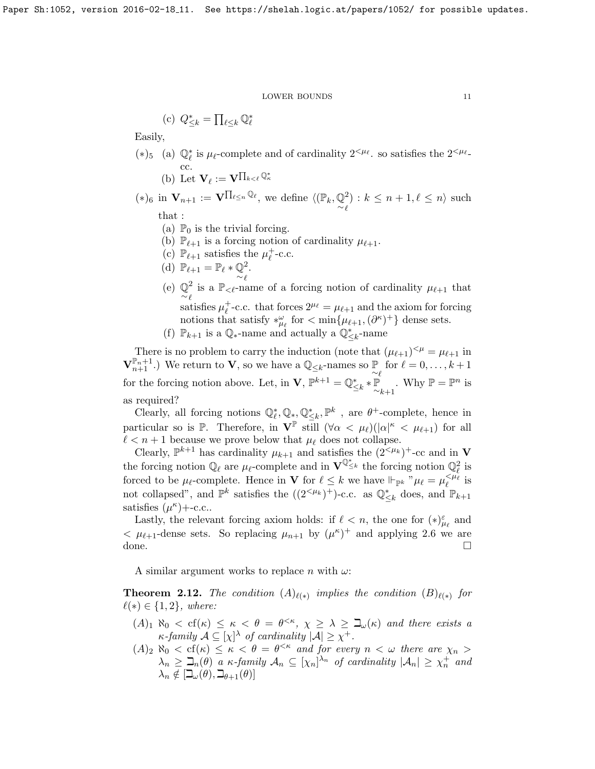(c) 
$$
Q_{\leq k}^* = \prod_{\ell \leq k} \mathbb{Q}_{\ell}^*
$$

Easily,

- (∗)<sub>5</sub> (a)  $\mathbb{Q}_\ell^*$  is  $\mu_\ell$ -complete and of cardinality 2<sup>< $\mu_\ell$ </sup>. so satisfies the 2<sup>< $\mu_\ell$ </sup>cc.
	- (b) Let  $\mathbf{V}_{\ell} := \mathbf{V}^{\prod_{k < \ell} \mathbb{Q}_{\kappa}^*}$

(\*)<sub>6</sub> in **V**<sub>n+1</sub> := **V**<sup>Π</sup><sup>*l*</sup><sup>2</sup><sup>*n*</sup><sup>*Q*<sup>*l*</sup>, we define  $\langle$ ( $\mathbb{P}_k$ ,  $\mathbb{Q}_k$ )</sup> 2  $\ell$ ) :  $k \leq n+1, \ell \leq n$  such that :

- (a)  $\mathbb{P}_0$  is the trivial forcing.
- (b)  $\mathbb{P}_{\ell+1}$  is a forcing notion of cardinality  $\mu_{\ell+1}$ .
- (c)  $\mathbb{P}_{\ell+1}$  satisfies the  $\mu_{\ell}^+$  $_{\ell}^{+}$ -c.c.
- (d)  $\mathbb{P}_{\ell+1} = \mathbb{P}_{\ell} * \mathbb{Q}$ 2 .
- (e)  $\mathbb{Q}^2$  is a  $\mathbb{P}_{\leq \ell}$ -na 2  $\ell$ is a  $\mathbb{P}_{\leq \ell}$ -name of a forcing notion of cardinality  $\mu_{\ell+1}$  that satisfies  $\mu_{\ell}^+$ <sup>+</sup><sub>e</sub>-c.c. that forces  $2^{\mu_{\ell}} = \mu_{\ell+1}$  and the axiom for forcing notions that satisfy  $*_{\mu_\ell}^{\omega}$  for  $\langle \min{\{\mu_{\ell+1}, (\partial^\kappa)^+\}}$  dense sets.
- (f)  $\mathbb{P}_{k+1}$  is a  $\mathbb{Q}_{*}$ -name and actually a  $\mathbb{Q}_{\leq k}^{*}$ -name

There is no problem to carry the induction (note that  $(\mu_{\ell+1})^{\leq \mu} = \mu_{\ell+1}$  in  $\mathbf{V}_{n+1}^{\mathbb{P}_n+1}$ .) We return to **V**, so we have a  $\mathbb{Q}_{\leq k}$ -names so  $\mathbb{P}_{\sim \ell}$  for  $\ell = 0, \ldots, k+1$ for the forcing notion above. Let, in  $\mathbf{V}$ ,  $\mathbb{P}^{k+1} = \mathbb{Q}^*_{\leq k} * \mathbb{P}_{\sim_{k+1}}$ . Why  $\mathbb{P} = \mathbb{P}^n$  is as required?

Clearly, all forcing notions  $\mathbb{Q}_\ell^*, \mathbb{Q}_*, \mathbb{Q}_{\leq k}^*, \mathbb{P}^k$ , are  $\theta^+$ -complete, hence in particular so is  $\mathbb P$ . Therefore, in  $V^{\mathbb P}$  still  $(\forall \alpha < \mu_\ell)(|\alpha|^{\kappa} < \mu_{\ell+1})$  for all  $\ell < n + 1$  because we prove below that  $\mu_{\ell}$  does not collapse.

Clearly,  $\mathbb{P}^{k+1}$  has cardinality  $\mu_{k+1}$  and satisfies the  $(2<sup>{\leq}\mu_k)</sup>$ +-cc and in **V** the forcing notion  $\mathbb{Q}_\ell$  are  $\mu_\ell$ -complete and in  $\mathbf{V}^{\mathbb{Q}^*}_{\leq k}$  the forcing notion  $\mathbb{Q}_\ell^2$  is forced to be  $\mu_{\ell}$ -complete. Hence in **V** for  $\ell \leq k$  we have  $\Vdash_{\mathbb{P}^k} " \mu_{\ell} = \mu_{\ell}^{<\mu_{\ell}}$  is not collapsed", and  $\mathbb{P}^k$  satisfies the  $((2<sup>{\ell_k}</sup>)<sup>+</sup>)$ -c.c. as  $\mathbb{Q}^*_{\leq k}$  does, and  $\mathbb{P}_{k+1}$ satisfies  $(\mu^{\kappa})+$ -c.c..

Lastly, the relevant forcing axiom holds: if  $\ell < n$ , the one for  $(*)_{\mu_\ell}^{\varepsilon}$  and  $< \mu_{\ell+1}$ -dense sets. So replacing  $\mu_{n+1}$  by  $(\mu^{\kappa})^+$  and applying 2.6 we are done.

A similar argument works to replace n with  $\omega$ :

**Theorem 2.12.** The condition  $(A)_{\ell(*)}$  implies the condition  $(B)_{\ell(*)}$  for  $\ell(*) \in \{1, 2\}, \text{ where:}$ 

- $(A)_1 \aleph_0 < \text{cf}(\kappa) \leq \kappa < \theta = \theta^{<\kappa}, \chi \geq \lambda \geq \beth_\omega(\kappa)$  and there exists a  $\kappa$ -family  $\mathcal{A} \subseteq [\chi]^{\lambda}$  of cardinality  $|\mathcal{A}| \geq \chi^{+}$ .
- $(A)_2 \aleph_0 < \text{cf}(\kappa) \leq \kappa < \theta = \theta^{<\kappa}$  and for every  $n < \omega$  there are  $\chi_n >$  $\lambda_n \geq \mathbb{L}_n(\theta)$  a  $\kappa$ -family  $\mathcal{A}_n \subseteq [\chi_n]^{\lambda_n}$  of cardinality  $|\mathcal{A}_n| \geq \chi_n^+$  and  $\lambda_n \notin [\mathcal{I}_{\omega}(\theta), \mathcal{I}_{\theta+1}(\theta)]$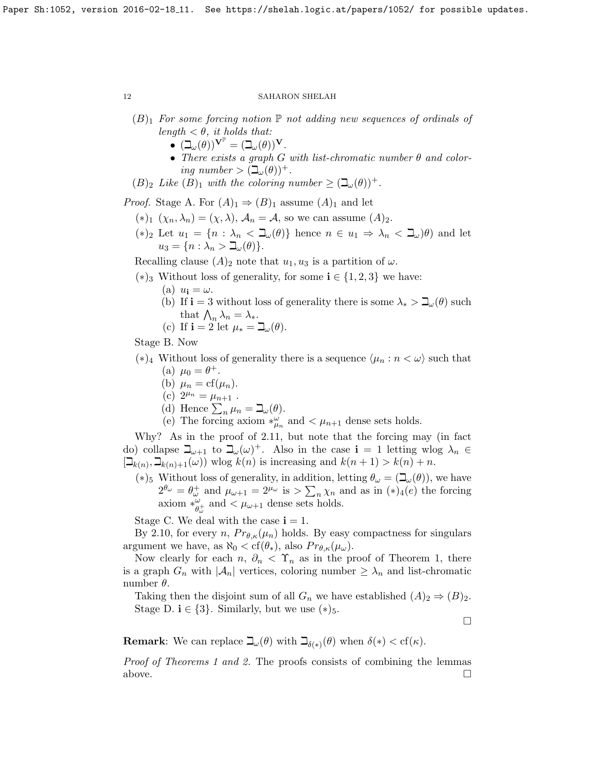- $(B)_1$  For some forcing notion  $\mathbb P$  not adding new sequences of ordinals of length  $\langle \theta, it holds that:$ 
	- $\overset{\circ}{\bullet} \ (\beth_{\omega}(\theta))^{\mathbf{V}^{\mathbb{P}}} = (\beth_{\omega}(\theta))^{\mathbf{V}}.$
	- There exists a graph G with list-chromatic number  $\theta$  and coloring number  $> (\mathbb{I}_{\omega}(\theta))^{+}$ .
- $(B)_2$  Like  $(B)_1$  with the coloring number  $\geq (\beth_\omega(\theta))^+$ .

*Proof.* Stage A. For  $(A)_1 \Rightarrow (B)_1$  assume  $(A)_1$  and let

- $(*)_1 (\chi_n, \lambda_n) = (\chi, \lambda), \mathcal{A}_n = \mathcal{A}$ , so we can assume  $(A)_2$ .
- $(*)_2$  Let  $u_1 = \{n : \lambda_n < \mathbb{L}_{\omega}(\theta)\}\)$  hence  $n \in u_1 \Rightarrow \lambda_n < \mathbb{L}_{\omega}(\theta)\}$  and let  $u_3 = \{n : \lambda_n > \beth_\omega(\theta)\}.$

Recalling clause  $(A)_2$  note that  $u_1, u_3$  is a partition of  $\omega$ .

- $(*)_3$  Without loss of generality, for some **i** ∈ {1, 2, 3} we have:
	- (a)  $u_i = \omega$ .
	- (b) If  $\mathbf{i} = 3$  without loss of generality there is some  $\lambda_* > \mathbf{\mathbb{I}}_{\omega}(\theta)$  such that  $\bigwedge_n \lambda_n = \lambda_*$ .
	- (c) If  $\mathbf{i} = 2$  let  $\mu_* = \beth_\omega(\theta)$ .

Stage B. Now

- (∗)<sub>4</sub> Without loss of generality there is a sequence  $\langle \mu_n : n < \omega \rangle$  such that (a)  $\mu_0 = \theta^+$ .
	- (b)  $\mu_n = cf(\mu_n)$ .
	- (c)  $2^{\mu_n} = \mu_{n+1}$ .
	- (d) Hence  $\sum_n \mu_n = \beth_\omega(\theta)$ .
	- (e) The forcing axiom  $*_{\mu_n}^{\omega}$  and  $\lt \mu_{n+1}$  dense sets holds.

Why? As in the proof of [2.11,](#page-9-0) but note that the forcing may (in fact do) collapse  $\beth_{\omega+1}$  to  $\beth_{\omega}(\omega)^+$ . Also in the case  $i = 1$  letting wlog  $\lambda_n \in$  $[\mathcal{L}_{k(n)}, \mathcal{L}_{k(n)+1}(\omega))$  wlog  $k(n)$  is increasing and  $k(n+1) > k(n) + n$ .

(\*)<sub>5</sub> Without loss of generality, in addition, letting  $\theta_{\omega} = (\mathbb{L}_{\omega}(\theta))$ , we have  $2^{\theta_{\omega}} = \theta_{\omega}^{+}$  and  $\mu_{\omega+1} = 2^{\mu_{\omega}}$  is  $> \sum_{n} \chi_n$  and as in  $(*)_4(e)$  the forcing axiom  $*_{\alpha}^{\omega}$  $\frac{\omega}{\theta_{\omega}^{\mu}}$  and  $\lt \mu_{\omega+1}$  dense sets holds.

Stage C. We deal with the case  $\mathbf{i} = 1$ .

By [2.10,](#page-8-0) for every n,  $Pr_{\theta,\kappa}(\mu_n)$  holds. By easy compactness for singulars argument we have, as  $\aleph_0 < \text{cf}(\theta_*)$ , also  $Pr_{\theta,\kappa}(\mu_\omega)$ .

Now clearly for each  $n, \, \partial_n < \Upsilon_n$  as in the proof of Theorem 1, there is a graph  $G_n$  with  $|\mathcal{A}_n|$  vertices, coloring number  $\geq \lambda_n$  and list-chromatic number  $\theta$ .

Taking then the disjoint sum of all  $G_n$  we have established  $(A)_2 \Rightarrow (B)_2$ . Stage D.  $\mathbf{i} \in \{3\}$ . Similarly, but we use  $(*)_5$ .

 $\Box$ 

**Remark:** We can replace  $\mathcal{L}_{\omega}(\theta)$  with  $\mathcal{L}_{\delta(*)}(\theta)$  when  $\delta(*) < \text{cf}(\kappa)$ .

Proof of Theorems 1 and 2. The proofs consists of combining the lemmas above.  $\Box$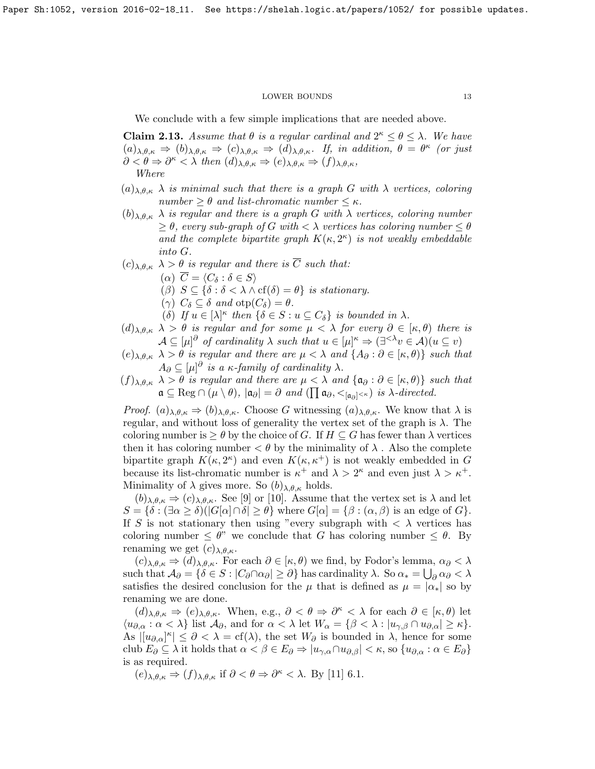We conclude with a few simple implications that are needed above.

<span id="page-12-0"></span>**Claim 2.13.** Assume that  $\theta$  is a regular cardinal and  $2^{\kappa} \le \theta \le \lambda$ . We have  $(a)_{\lambda,\theta,\kappa} \Rightarrow (b)_{\lambda,\theta,\kappa} \Rightarrow (c)_{\lambda,\theta,\kappa} \Rightarrow (d)_{\lambda,\theta,\kappa}.$  If, in addition,  $\theta = \theta^{\kappa}$  (or just  $\partial < \theta \Rightarrow \partial^{\kappa} < \lambda$  then  $(d)_{\lambda,\theta,\kappa} \Rightarrow (e)_{\lambda,\theta,\kappa} \Rightarrow (f)_{\lambda,\theta,\kappa}$ , Where

- $(a)_{\lambda,\theta,\kappa}$   $\lambda$  is minimal such that there is a graph G with  $\lambda$  vertices, coloring number  $\geq \theta$  and list-chromatic number  $\leq \kappa$ .
- $(b)_{\lambda,\theta,\kappa}$   $\lambda$  is regular and there is a graph G with  $\lambda$  vertices, coloring number  $\geq \theta$ , every sub-graph of G with  $\lt \lambda$  vertices has coloring number  $\leq \theta$ and the complete bipartite graph  $K(\kappa, 2^{\kappa})$  is not weakly embeddable into G.
- $(c)_{\lambda,\theta,\kappa}$   $\lambda > \theta$  is regular and there is  $\overline{C}$  such that:
	- $(\alpha) \ \overline{C} = \langle C_{\delta} : \delta \in S \rangle$
	- ( $\beta$ )  $S \subseteq {\delta : \delta < \lambda \wedge cf(\delta) = \theta}$  is stationary.
	- (γ)  $C_{\delta} \subseteq \delta$  and  $otp(C_{\delta}) = \theta$ .
	- (δ) If  $u \in [\lambda]^{\kappa}$  then  $\{\delta \in S : u \subseteq C_{\delta}\}\$ is bounded in  $\lambda$ .
- $(d)_{\lambda,\theta,\kappa}$   $\lambda > \theta$  is regular and for some  $\mu < \lambda$  for every  $\partial \in [\kappa,\theta)$  there is  $\mathcal{A} \subseteq [\mu]^{\partial}$  of cardinality  $\lambda$  such that  $u \in [\mu]^{\kappa} \Rightarrow (\exists^{<\lambda} v \in \mathcal{A})(u \subseteq v)$
- $(e)_{\lambda,\theta,\kappa}$   $\lambda > \theta$  is regular and there are  $\mu < \lambda$  and  $\{A_{\partial}: \partial \in [\kappa,\theta)\}\$  such that  $A_{\partial} \subseteq [\mu]^{\partial}$  is a  $\kappa$ -family of cardinality  $\lambda$ .
- $(f)_{\lambda,\theta,\kappa}$   $\lambda > \theta$  is regular and there are  $\mu < \lambda$  and  $\{a_{\partial}: \partial \in [\kappa,\theta)\}\$  such that  $\mathfrak{a} \subseteq \text{Reg} \cap (\mu \setminus \theta), |\mathfrak{a}_{\partial}| = \partial \text{ and } (\prod \mathfrak{a}_{\partial}, <_{[\mathfrak{a}_{\partial}]<\kappa}) \text{ is } \lambda\textrm{-directed}.$

*Proof.*  $(a)_{\lambda,\theta,\kappa} \Rightarrow (b)_{\lambda,\theta,\kappa}$ . Choose G witnessing  $(a)_{\lambda,\theta,\kappa}$ . We know that  $\lambda$  is regular, and without loss of generality the vertex set of the graph is  $\lambda$ . The coloring number is  $\geq \theta$  by the choice of G. If  $H \subseteq G$  has fewer than  $\lambda$  vertices then it has coloring number  $\langle \theta \rangle$  by the minimality of  $\lambda$ . Also the complete bipartite graph  $K(\kappa, 2^{\kappa})$  and even  $K(\kappa, \kappa^+)$  is not weakly embedded in G because its list-chromatic number is  $\kappa^+$  and  $\lambda > 2^{\kappa}$  and even just  $\lambda > \kappa^+$ . Minimality of  $\lambda$  gives more. So  $(b)_{\lambda,\theta,\kappa}$  holds.

 $(b)_{\lambda,\theta,\kappa} \Rightarrow (c)_{\lambda,\theta,\kappa}$ . See [\[9\]](#page-13-17) or [\[10\]](#page-13-12). Assume that the vertex set is  $\lambda$  and let  $S = \{\delta : (\exists \alpha \ge \delta)(|G[\alpha] \cap \delta] \ge \theta\}$  where  $G[\alpha] = \{\beta : (\alpha, \beta)$  is an edge of  $G\}.$ If S is not stationary then using "every subgraph with  $\langle \lambda \rangle$  vertices has coloring number  $\leq \theta$ " we conclude that G has coloring number  $\leq \theta$ . By renaming we get  $(c)_{\lambda,\theta,\kappa}$ .

 $(c)_{\lambda,\theta,\kappa} \Rightarrow (d)_{\lambda,\theta,\kappa}$ . For each  $\partial \in [\kappa,\theta)$  we find, by Fodor's lemma,  $\alpha_{\partial} < \lambda$ such that  $\mathcal{A}_{\partial} = \{ \delta \in S : |C_{\partial} \cap \alpha_{\partial}| \geq \partial \}$  has cardinality  $\lambda$ . So  $\alpha_* = \bigcup_{\partial} \alpha_{\partial} < \lambda$ satisfies the desired conclusion for the  $\mu$  that is defined as  $\mu = |\alpha_*|$  so by renaming we are done.

 $(d)_{\lambda,\theta,\kappa} \Rightarrow (e)_{\lambda,\theta,\kappa}$ . When, e.g.,  $\partial < \theta \Rightarrow \partial^{\kappa} < \lambda$  for each  $\partial \in [\kappa,\theta)$  let  $\langle u_{\partial,\alpha} : \alpha < \lambda \}$  list  $\mathcal{A}_{\partial}$ , and for  $\alpha < \lambda$  let  $W_{\alpha} = \{\beta < \lambda : |u_{\gamma,\beta} \cap u_{\partial,\alpha}| \geq \kappa\}.$ As  $|[u_{\partial,\alpha}]^{\kappa}| \leq \partial <\lambda = \text{cf}(\lambda)$ , the set  $W_{\partial}$  is bounded in  $\lambda$ , hence for some club  $E_{\partial} \subseteq \lambda$  it holds that  $\alpha < \beta \in E_{\partial} \Rightarrow |u_{\gamma,\alpha} \cap u_{\partial,\beta}| < \kappa$ , so  $\{u_{\partial,\alpha} : \alpha \in E_{\partial}\}\$ is as required.

$$
(e)_{\lambda,\theta,\kappa} \Rightarrow (f)_{\lambda,\theta,\kappa}
$$
 if  $\partial < \theta \Rightarrow \partial^{\kappa} < \lambda$ . By [11] 6.1.